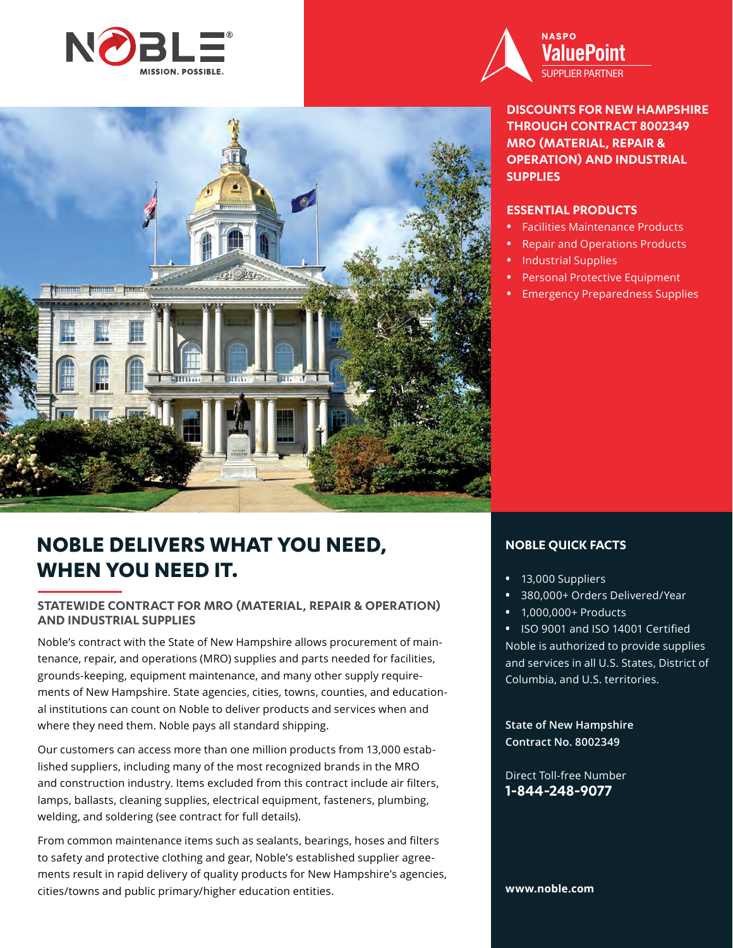



**DISCOUNTS FOR NEW HAMPSHIRE THROUGH CONTRACT 8002349 MRO (MATERIAL, REPAIR & OPERATION) AND INDUSTRIAL SUPPLIES**

### **ESSENTIAL PRODUCTS**

- **•** Facilities Maintenance Products
- **•** Repair and Operations Products
- **•** Industrial Supplies
- **•** Personal Protective Equipment
- **•** Emergency Preparedness Supplies

# **NOBLE DELIVERS WHAT YOU NEED, WHEN YOU NEED IT.**

### **STATEWIDE CONTRACT FOR MRO (MATERIAL, REPAIR & OPERATION) AND INDUSTRIAL SUPPLIES**

Noble's contract with the State of New Hampshire allows procurement of maintenance, repair, and operations (MRO) supplies and parts needed for facilities, grounds-keeping, equipment maintenance, and many other supply requirements of New Hampshire. State agencies, cities, towns, counties, and educational institutions can count on Noble to deliver products and services when and where they need them. Noble pays all standard shipping.

Our customers can access more than one million products from 13,000 established suppliers, including many of the most recognized brands in the MRO and construction industry. Items excluded from this contract include air filters, lamps, ballasts, cleaning supplies, electrical equipment, fasteners, plumbing, welding, and soldering (see contract for full details).

From common maintenance items such as sealants, bearings, hoses and filters to safety and protective clothing and gear, Noble's established supplier agreements result in rapid delivery of quality products for New Hampshire's agencies, cities/towns and public primary/higher education entities.

### **NOBLE QUICK FACTS**

- **•** 13,000 Suppliers
- **•** 380,000+ Orders Delivered/Year
- **•** 1,000,000+ Products

**•** ISO 9001 and ISO 14001 Certified Noble is authorized to provide supplies and services in all U.S. States, District of Columbia, and U.S. territories.

**State of New Hampshire Contract No. 8002349** 

Direct Toll-free Number **1-844-248-9077**

### **www.noble.com**